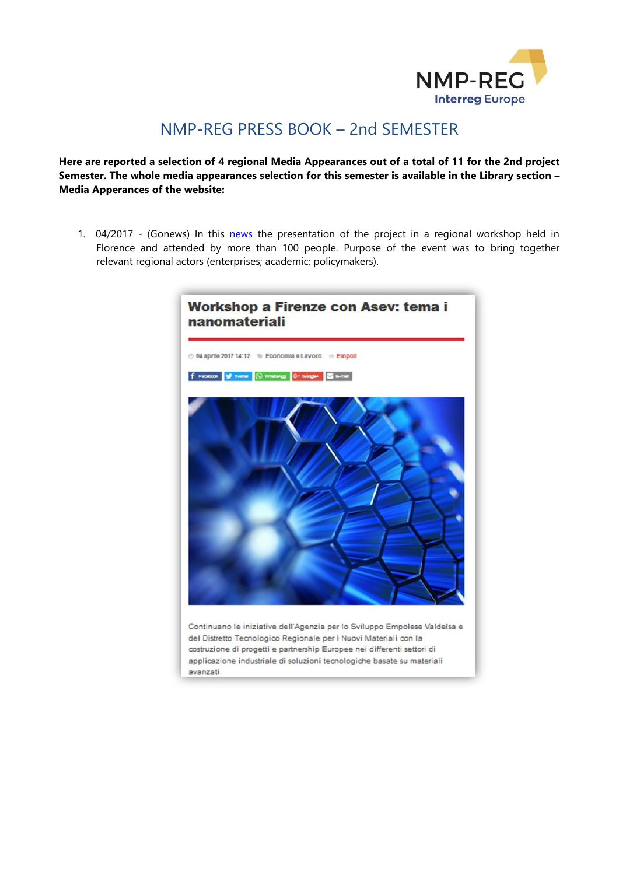

## NMP-REG PRESS BOOK – 2nd SEMESTER

**Here are reported a selection of 4 regional Media Appearances out of a total of 11 for the 2nd project Semester. The whole media appearances selection for this semester is available in the Library section – Media Apperances of the website:**

1. 04/2017 - (Go[news](http://www.gonews.it/2017/04/04/workshop-firenze-asev-tema-nanomateriali/)) In this news the presentation of the project in a regional workshop held in Florence and attended by more than 100 people. Purpose of the event was to bring together relevant regional actors (enterprises; academic; policymakers).



avanzati.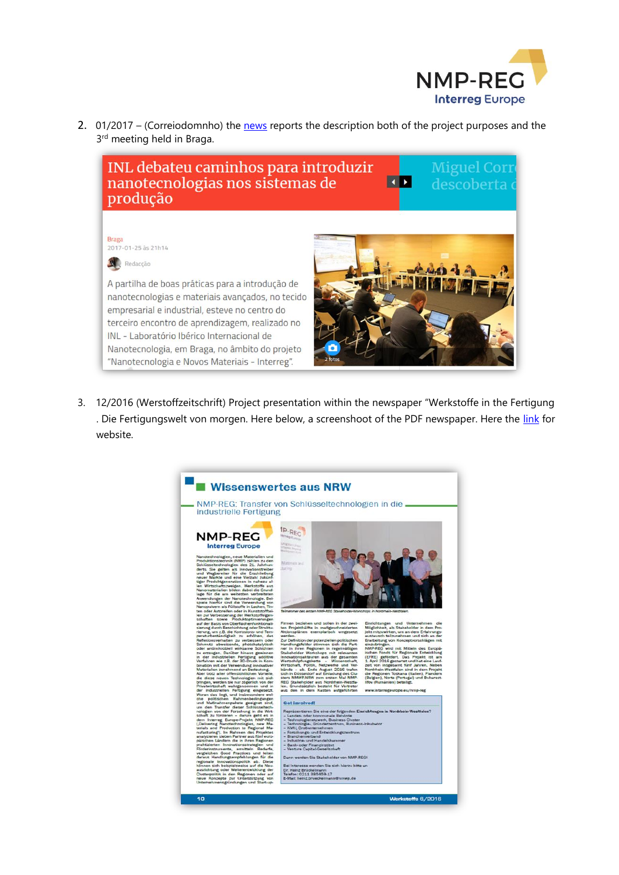

2. 01/2017 – (Correiodomnho) the [news](http://correiodominho.pt/noticias.php?id=99908&utm_source=dlvr.it&utm_medium=facebook) reports the description both of the project purposes and the 3<sup>rd</sup> meeting held in Braga.



3. 12/2016 (Werstoffzeitschrift) Project presentation within the newspaper "Werkstoffe in the Fertigung . Die Fertigungswelt von morgen. Here below, a screenshoot of the PDF newspaper. Here the [link](http://werkstoffzeitschrift.de/) for website.